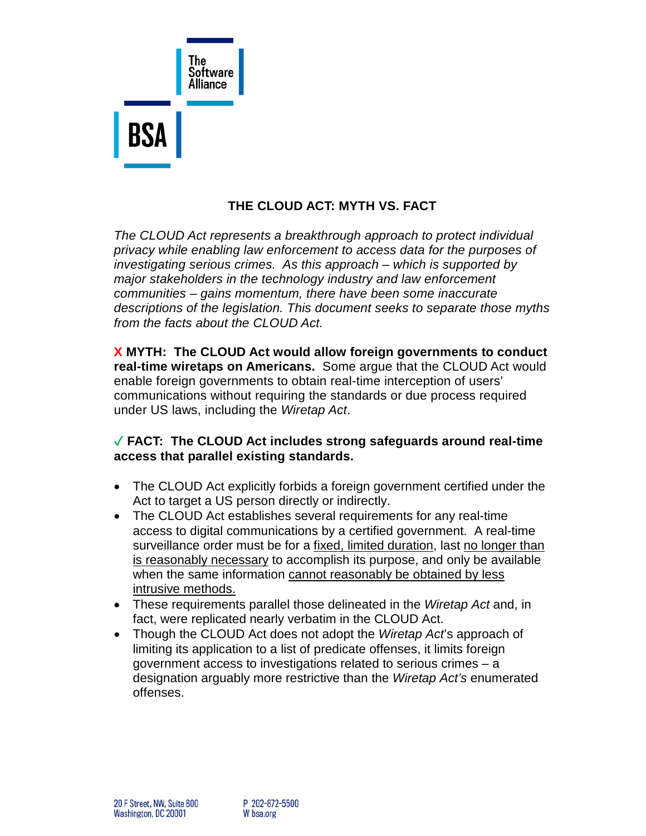

# **THE CLOUD ACT: MYTH VS. FACT**

*The CLOUD Act represents a breakthrough approach to protect individual privacy while enabling law enforcement to access data for the purposes of investigating serious crimes. As this approach – which is supported by major stakeholders in the technology industry and law enforcement communities – gains momentum, there have been some inaccurate descriptions of the legislation. This document seeks to separate those myths from the facts about the CLOUD Act.*

**X MYTH: The CLOUD Act would allow foreign governments to conduct real-time wiretaps on Americans.** Some argue that the CLOUD Act would enable foreign governments to obtain real-time interception of users' communications without requiring the standards or due process required under US laws, including the *Wiretap Act*.

### ✓ **FACT: The CLOUD Act includes strong safeguards around real-time access that parallel existing standards.**

- The CLOUD Act explicitly forbids a foreign government certified under the Act to target a US person directly or indirectly.
- The CLOUD Act establishes several requirements for any real-time access to digital communications by a certified government. A real-time surveillance order must be for a fixed, limited duration, last no longer than is reasonably necessary to accomplish its purpose, and only be available when the same information cannot reasonably be obtained by less intrusive methods.
- These requirements parallel those delineated in the *Wiretap Act* and, in fact, were replicated nearly verbatim in the CLOUD Act.
- Though the CLOUD Act does not adopt the *Wiretap Act*'s approach of limiting its application to a list of predicate offenses, it limits foreign government access to investigations related to serious crimes – a designation arguably more restrictive than the *Wiretap Act's* enumerated offenses.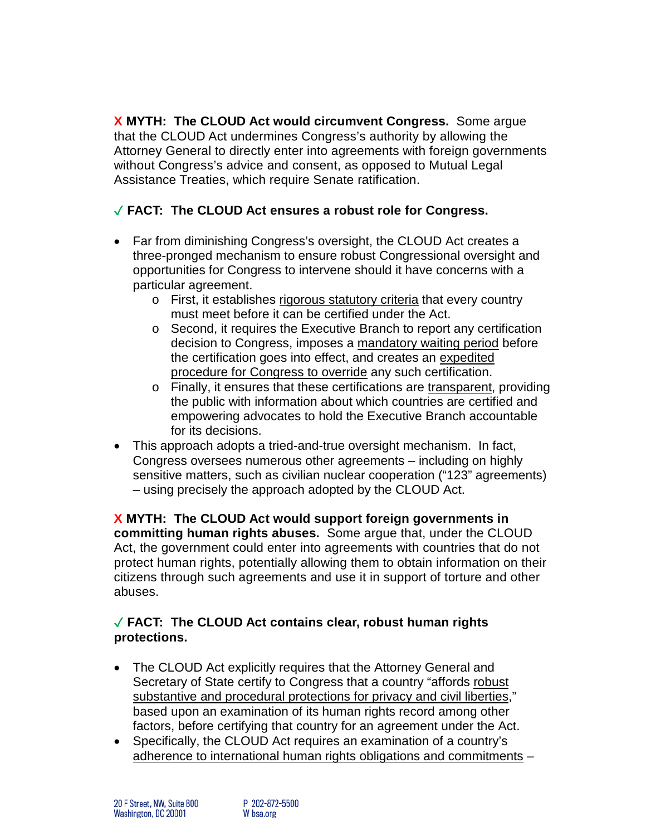**X MYTH: The CLOUD Act would circumvent Congress.** Some argue that the CLOUD Act undermines Congress's authority by allowing the Attorney General to directly enter into agreements with foreign governments without Congress's advice and consent, as opposed to Mutual Legal Assistance Treaties, which require Senate ratification.

# ✓ **FACT: The CLOUD Act ensures a robust role for Congress.**

- Far from diminishing Congress's oversight, the CLOUD Act creates a three-pronged mechanism to ensure robust Congressional oversight and opportunities for Congress to intervene should it have concerns with a particular agreement.
	- o First, it establishes rigorous statutory criteria that every country must meet before it can be certified under the Act.
	- o Second, it requires the Executive Branch to report any certification decision to Congress, imposes a mandatory waiting period before the certification goes into effect, and creates an expedited procedure for Congress to override any such certification.
	- o Finally, it ensures that these certifications are transparent, providing the public with information about which countries are certified and empowering advocates to hold the Executive Branch accountable for its decisions.
- This approach adopts a tried-and-true oversight mechanism. In fact, Congress oversees numerous other agreements – including on highly sensitive matters, such as civilian nuclear cooperation ("123" agreements) – using precisely the approach adopted by the CLOUD Act.

**X MYTH: The CLOUD Act would support foreign governments in committing human rights abuses.** Some argue that, under the CLOUD Act, the government could enter into agreements with countries that do not protect human rights, potentially allowing them to obtain information on their citizens through such agreements and use it in support of torture and other abuses.

### ✓ **FACT: The CLOUD Act contains clear, robust human rights protections.**

- The CLOUD Act explicitly requires that the Attorney General and Secretary of State certify to Congress that a country "affords robust substantive and procedural protections for privacy and civil liberties," based upon an examination of its human rights record among other factors, before certifying that country for an agreement under the Act.
- Specifically, the CLOUD Act requires an examination of a country's adherence to international human rights obligations and commitments –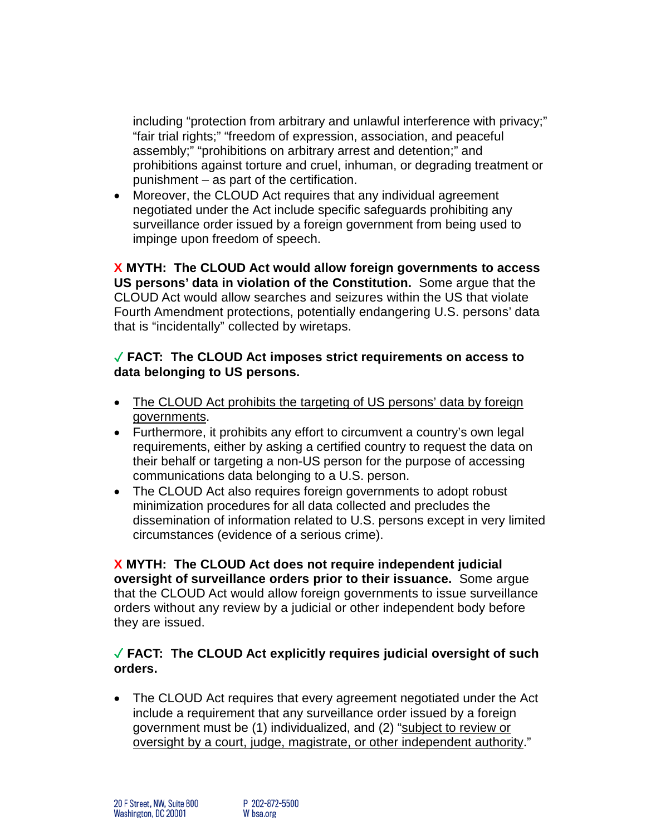including "protection from arbitrary and unlawful interference with privacy;" "fair trial rights;" "freedom of expression, association, and peaceful assembly;" "prohibitions on arbitrary arrest and detention;" and prohibitions against torture and cruel, inhuman, or degrading treatment or punishment – as part of the certification.

• Moreover, the CLOUD Act requires that any individual agreement negotiated under the Act include specific safeguards prohibiting any surveillance order issued by a foreign government from being used to impinge upon freedom of speech.

**X MYTH: The CLOUD Act would allow foreign governments to access US persons' data in violation of the Constitution.** Some argue that the CLOUD Act would allow searches and seizures within the US that violate Fourth Amendment protections, potentially endangering U.S. persons' data that is "incidentally" collected by wiretaps.

#### ✓ **FACT: The CLOUD Act imposes strict requirements on access to data belonging to US persons.**

- The CLOUD Act prohibits the targeting of US persons' data by foreign governments.
- Furthermore, it prohibits any effort to circumvent a country's own legal requirements, either by asking a certified country to request the data on their behalf or targeting a non-US person for the purpose of accessing communications data belonging to a U.S. person.
- The CLOUD Act also requires foreign governments to adopt robust minimization procedures for all data collected and precludes the dissemination of information related to U.S. persons except in very limited circumstances (evidence of a serious crime).

**X MYTH: The CLOUD Act does not require independent judicial oversight of surveillance orders prior to their issuance.** Some argue that the CLOUD Act would allow foreign governments to issue surveillance orders without any review by a judicial or other independent body before they are issued.

### ✓ **FACT: The CLOUD Act explicitly requires judicial oversight of such orders.**

• The CLOUD Act requires that every agreement negotiated under the Act include a requirement that any surveillance order issued by a foreign government must be (1) individualized, and (2) "subject to review or oversight by a court, judge, magistrate, or other independent authority."